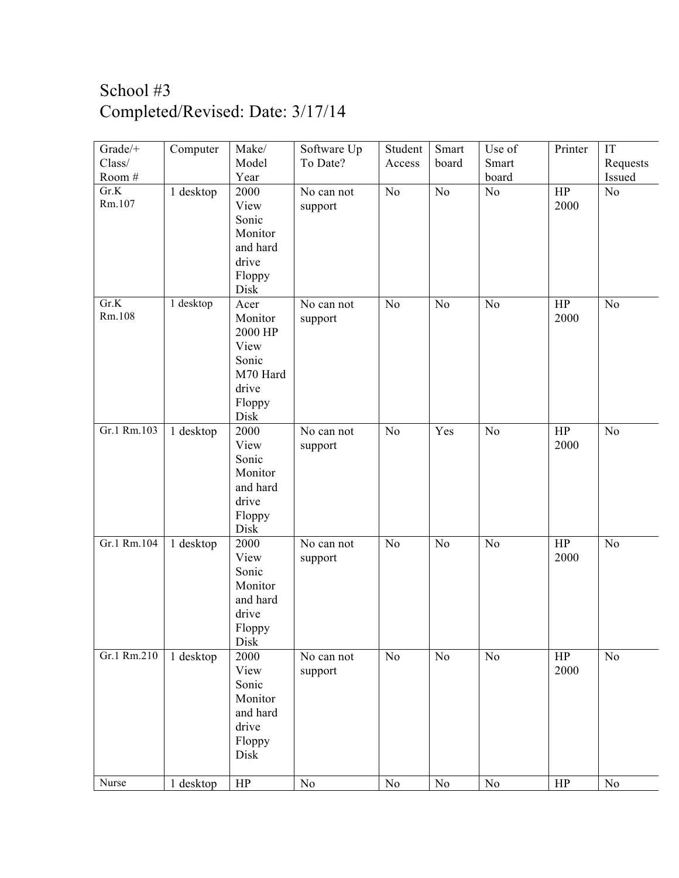## School #3 Completed/Revised: Date: 3/17/14

| Grade/+     | Computer  | Make/        | Software Up | Student  | Smart          | Use of   | Printer   | IT       |
|-------------|-----------|--------------|-------------|----------|----------------|----------|-----------|----------|
| Class/      |           | Model        | To Date?    | Access   | board          | Smart    |           | Requests |
| Room #      |           | Year         |             |          |                | board    |           | Issued   |
| Gr.K        | 1 desktop | 2000         | No can not  | $\rm No$ | No             | No       | HP        | No       |
| Rm.107      |           | View         | support     |          |                |          | 2000      |          |
|             |           | Sonic        |             |          |                |          |           |          |
|             |           | Monitor      |             |          |                |          |           |          |
|             |           | and hard     |             |          |                |          |           |          |
|             |           | drive        |             |          |                |          |           |          |
|             |           | Floppy       |             |          |                |          |           |          |
|             |           | Disk         |             |          |                |          |           |          |
| Gr.K        | 1 desktop | Acer         | No can not  | $\rm No$ | N <sub>o</sub> | No       | $\rm{HP}$ | No       |
| Rm.108      |           | Monitor      | support     |          |                |          | 2000      |          |
|             |           | 2000 HP      |             |          |                |          |           |          |
|             |           | View         |             |          |                |          |           |          |
|             |           | Sonic        |             |          |                |          |           |          |
|             |           | M70 Hard     |             |          |                |          |           |          |
|             |           | drive        |             |          |                |          |           |          |
|             |           | Floppy       |             |          |                |          |           |          |
|             |           | Disk         |             |          |                |          |           |          |
| Gr.1 Rm.103 | 1 desktop | 2000         | No can not  | No       | Yes            | No       | HP        | No       |
|             |           | View         | support     |          |                |          | 2000      |          |
|             |           | Sonic        |             |          |                |          |           |          |
|             |           | Monitor      |             |          |                |          |           |          |
|             |           | and hard     |             |          |                |          |           |          |
|             |           | drive        |             |          |                |          |           |          |
|             |           | Floppy       |             |          |                |          |           |          |
|             |           | Disk         |             |          |                |          |           |          |
| Gr.1 Rm.104 | 1 desktop | 2000         | No can not  | $\rm No$ | N <sub>o</sub> | No       | $\rm{HP}$ | No       |
|             |           | View         | support     |          |                |          | 2000      |          |
|             |           | Sonic        |             |          |                |          |           |          |
|             |           | Monitor      |             |          |                |          |           |          |
|             |           | and hard     |             |          |                |          |           |          |
|             |           | drive        |             |          |                |          |           |          |
|             |           | Floppy       |             |          |                |          |           |          |
| Gr.1 Rm.210 | 1 desktop | Disk<br>2000 | No can not  | $\rm No$ | N <sub>0</sub> | No       | HP        | $\rm No$ |
|             |           | View         | support     |          |                |          | 2000      |          |
|             |           | Sonic        |             |          |                |          |           |          |
|             |           | Monitor      |             |          |                |          |           |          |
|             |           | and hard     |             |          |                |          |           |          |
|             |           | drive        |             |          |                |          |           |          |
|             |           | Floppy       |             |          |                |          |           |          |
|             |           | Disk         |             |          |                |          |           |          |
|             |           |              |             |          |                |          |           |          |
| Nurse       | 1 desktop | HP           | No          | No       | N <sub>o</sub> | $\rm No$ | HP        | $\rm No$ |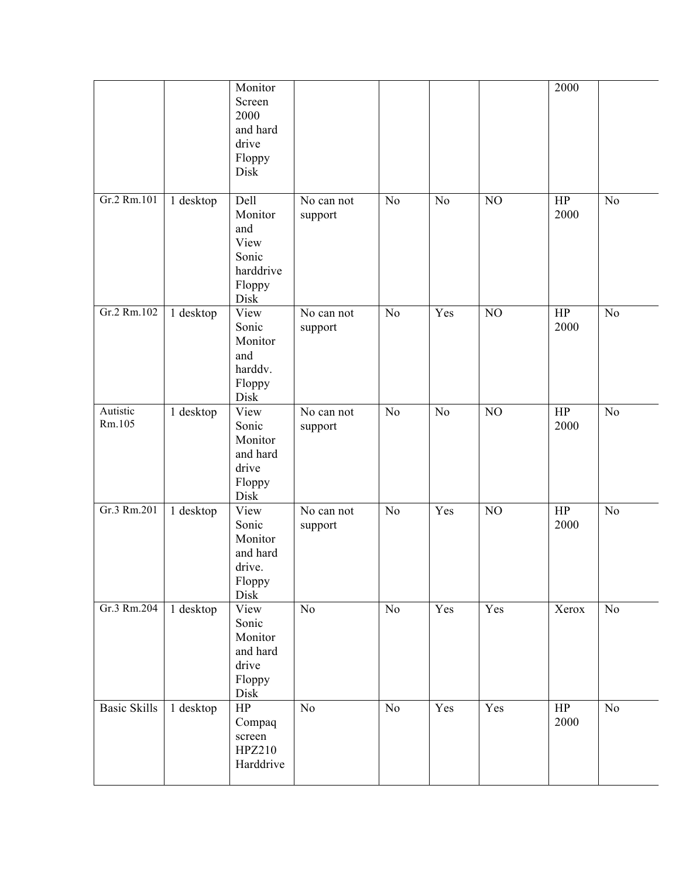|                     |           | Monitor<br>Screen<br>2000<br>and hard<br>drive<br>Floppy<br>Disk       |                       |                |                |          | 2000                |                |
|---------------------|-----------|------------------------------------------------------------------------|-----------------------|----------------|----------------|----------|---------------------|----------------|
| Gr.2 Rm.101         | 1 desktop | Dell<br>Monitor<br>and<br>View<br>Sonic<br>harddrive<br>Floppy<br>Disk | No can not<br>support | N <sub>o</sub> | N <sub>o</sub> | NO       | HP<br>2000          | N <sub>o</sub> |
| Gr.2 Rm.102         | 1 desktop | View<br>Sonic<br>Monitor<br>and<br>harddv.<br>Floppy<br>Disk           | No can not<br>support | N <sub>o</sub> | Yes            | $\rm NO$ | HP<br>2000          | No             |
| Autistic<br>Rm.105  | 1 desktop | View<br>Sonic<br>Monitor<br>and hard<br>drive<br>Floppy<br>Disk        | No can not<br>support | No             | N <sub>o</sub> | NO       | HP<br>2000          | N <sub>o</sub> |
| Gr.3 Rm.201         | 1 desktop | View<br>Sonic<br>Monitor<br>and hard<br>drive.<br>Floppy<br>Disk       | No can not<br>support | No             | Yes            | NO       | HP<br>2000          | No             |
| Gr.3 Rm.204         | 1 desktop | View<br>Sonic<br>Monitor<br>and hard<br>drive<br>Floppy<br>Disk        | No                    | $\overline{N}$ | Yes            | Yes      | $\overline{X}$ erox | No             |
| <b>Basic Skills</b> | 1 desktop | $\rm{HP}$<br>Compaq<br>screen<br>HPZ210<br>Harddrive                   | No                    | $\rm No$       | Yes            | Yes      | $\rm{HP}$<br>2000   | $\rm No$       |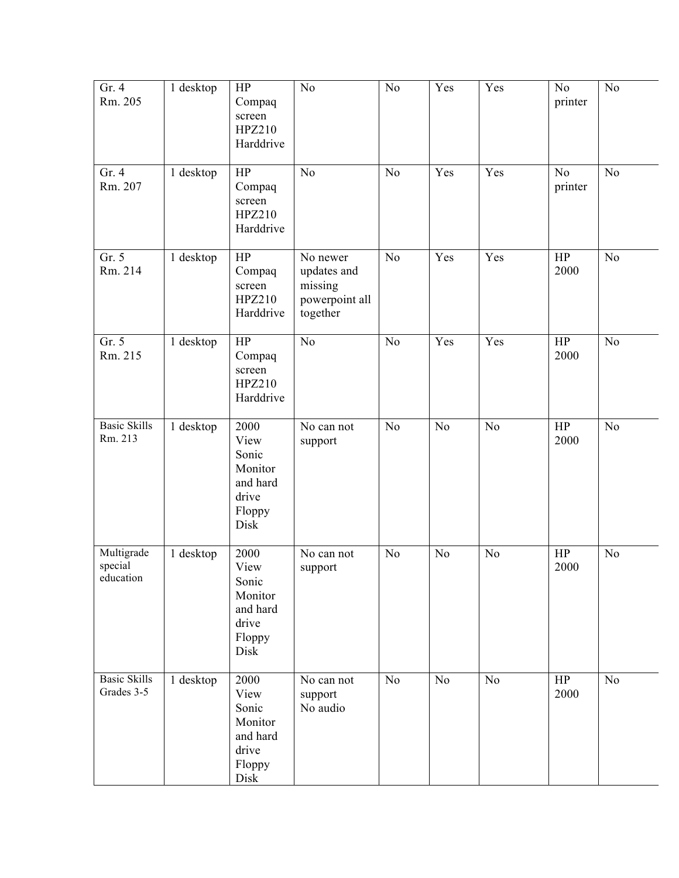| Gr. 4<br>Rm. 205                   | 1 desktop | HP<br>Compaq<br>screen<br>HPZ210<br>Harddrive                           | N <sub>o</sub>                                                   | $\rm No$       | Yes            | Yes            | N <sub>o</sub><br>printer | No             |
|------------------------------------|-----------|-------------------------------------------------------------------------|------------------------------------------------------------------|----------------|----------------|----------------|---------------------------|----------------|
| Gr. 4<br>Rm. 207                   | 1 desktop | HP<br>Compaq<br>screen<br>HPZ210<br>Harddrive                           | N <sub>o</sub>                                                   | No             | Yes            | Yes            | No<br>printer             | No             |
| Gr. 5<br>Rm. 214                   | 1 desktop | HP<br>Compaq<br>screen<br>HPZ210<br>Harddrive                           | No newer<br>updates and<br>missing<br>powerpoint all<br>together | No             | Yes            | Yes            | HP<br>2000                | N <sub>o</sub> |
| Gr. 5<br>Rm. 215                   | 1 desktop | HP<br>Compaq<br>screen<br>HPZ210<br>Harddrive                           | No                                                               | No             | Yes            | Yes            | HP<br>2000                | N <sub>o</sub> |
| <b>Basic Skills</b><br>Rm. 213     | 1 desktop | 2000<br>View<br>Sonic<br>Monitor<br>and hard<br>drive<br>Floppy<br>Disk | No can not<br>support                                            | No             | N <sub>o</sub> | N <sub>o</sub> | HP<br>2000                | N <sub>o</sub> |
| Multigrade<br>special<br>education | 1 desktop | 2000<br>View<br>Sonic<br>Monitor<br>and hard<br>drive<br>Floppy<br>Disk | No can not<br>support                                            | N <sub>o</sub> | N <sub>o</sub> | No             | HP<br>2000                | No             |
| <b>Basic Skills</b><br>Grades 3-5  | 1 desktop | 2000<br>View<br>Sonic<br>Monitor<br>and hard<br>drive<br>Floppy<br>Disk | No can not<br>support<br>No audio                                | $\rm No$       | No             | N <sub>o</sub> | $\rm{HP}$<br>2000         | N <sub>o</sub> |